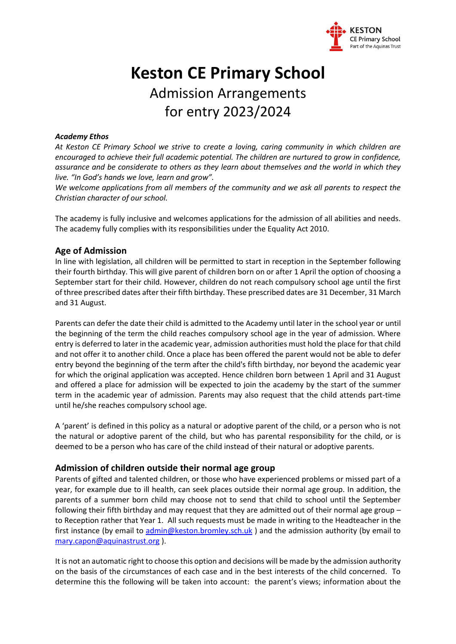

# **Keston CE Primary School** Admission Arrangements for entry 2023/2024

#### *Academy Ethos*

*At Keston CE Primary School we strive to create a loving, caring community in which children are encouraged to achieve their full academic potential. The children are nurtured to grow in confidence, assurance and be considerate to others as they learn about themselves and the world in which they live. "In God's hands we love, learn and grow".*

*We welcome applications from all members of the community and we ask all parents to respect the Christian character of our school.* 

The academy is fully inclusive and welcomes applications for the admission of all abilities and needs. The academy fully complies with its responsibilities under the Equality Act 2010.

# **Age of Admission**

In line with legislation, all children will be permitted to start in reception in the September following their fourth birthday. This will give parent of children born on or after 1 April the option of choosing a September start for their child. However, children do not reach compulsory school age until the first of three prescribed dates after their fifth birthday. These prescribed dates are 31 December, 31 March and 31 August.

Parents can defer the date their child is admitted to the Academy until later in the school year or until the beginning of the term the child reaches compulsory school age in the year of admission. Where entry is deferred to later in the academic year, admission authorities must hold the place for that child and not offer it to another child. Once a place has been offered the parent would not be able to defer entry beyond the beginning of the term after the child's fifth birthday, nor beyond the academic year for which the original application was accepted. Hence children born between 1 April and 31 August and offered a place for admission will be expected to join the academy by the start of the summer term in the academic year of admission. Parents may also request that the child attends part-time until he/she reaches compulsory school age.

A 'parent' is defined in this policy as a natural or adoptive parent of the child, or a person who is not the natural or adoptive parent of the child, but who has parental responsibility for the child, or is deemed to be a person who has care of the child instead of their natural or adoptive parents.

# **Admission of children outside their normal age group**

Parents of gifted and talented children, or those who have experienced problems or missed part of a year, for example due to ill health, can seek places outside their normal age group. In addition, the parents of a summer born child may choose not to send that child to school until the September following their fifth birthday and may request that they are admitted out of their normal age group – to Reception rather that Year 1. All such requests must be made in writing to the Headteacher in the first instance (by email to [admin@keston.bromley.sch.uk](mailto:admin@keston.bromley.sch.uk)) and the admission authority (by email to [mary.capon@aquinastrust.org](mailto:mary.capon@aquinastrust.org) ).

It is not an automatic right to choose this option and decisions will be made by the admission authority on the basis of the circumstances of each case and in the best interests of the child concerned. To determine this the following will be taken into account: the parent's views; information about the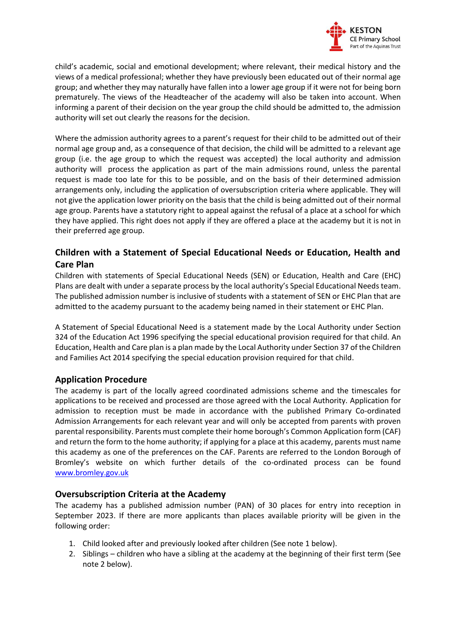

child's academic, social and emotional development; where relevant, their medical history and the views of a medical professional; whether they have previously been educated out of their normal age group; and whether they may naturally have fallen into a lower age group if it were not for being born prematurely. The views of the Headteacher of the academy will also be taken into account. When informing a parent of their decision on the year group the child should be admitted to, the admission authority will set out clearly the reasons for the decision.

Where the admission authority agrees to a parent's request for their child to be admitted out of their normal age group and, as a consequence of that decision, the child will be admitted to a relevant age group (i.e. the age group to which the request was accepted) the local authority and admission authority will process the application as part of the main admissions round, unless the parental request is made too late for this to be possible, and on the basis of their determined admission arrangements only, including the application of oversubscription criteria where applicable. They will not give the application lower priority on the basis that the child is being admitted out of their normal age group. Parents have a statutory right to appeal against the refusal of a place at a school for which they have applied. This right does not apply if they are offered a place at the academy but it is not in their preferred age group.

# **Children with a Statement of Special Educational Needs or Education, Health and Care Plan**

Children with statements of Special Educational Needs (SEN) or Education, Health and Care (EHC) Plans are dealt with under a separate process by the local authority's Special Educational Needs team. The published admission number is inclusive of students with a statement of SEN or EHC Plan that are admitted to the academy pursuant to the academy being named in their statement or EHC Plan.

A Statement of Special Educational Need is a statement made by the Local Authority under Section 324 of the Education Act 1996 specifying the special educational provision required for that child. An Education, Health and Care plan is a plan made by the Local Authority under Section 37 of the Children and Families Act 2014 specifying the special education provision required for that child.

# **Application Procedure**

The academy is part of the locally agreed coordinated admissions scheme and the timescales for applications to be received and processed are those agreed with the Local Authority. Application for admission to reception must be made in accordance with the published Primary Co-ordinated Admission Arrangements for each relevant year and will only be accepted from parents with proven parental responsibility. Parents must complete their home borough's Common Application form (CAF) and return the form to the home authority; if applying for a place at this academy, parents must name this academy as one of the preferences on the CAF. Parents are referred to the London Borough of Bromley's website on which further details of the co-ordinated process can be found [www.bromley.gov.uk](http://www.bromley.gov.uk/)

# **Oversubscription Criteria at the Academy**

The academy has a published admission number (PAN) of 30 places for entry into reception in September 2023. If there are more applicants than places available priority will be given in the following order:

- 1. Child looked after and previously looked after children (See note 1 below).
- 2. Siblings children who have a sibling at the academy at the beginning of their first term (See note 2 below).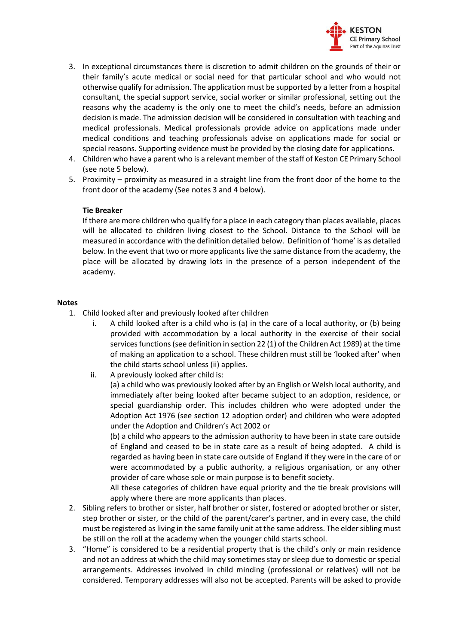

- 3. In exceptional circumstances there is discretion to admit children on the grounds of their or their family's acute medical or social need for that particular school and who would not otherwise qualify for admission. The application must be supported by a letter from a hospital consultant, the special support service, social worker or similar professional, setting out the reasons why the academy is the only one to meet the child's needs, before an admission decision is made. The admission decision will be considered in consultation with teaching and medical professionals. Medical professionals provide advice on applications made under medical conditions and teaching professionals advise on applications made for social or special reasons. Supporting evidence must be provided by the closing date for applications.
- 4. Children who have a parent who is a relevant member of the staff of Keston CE Primary School (see note 5 below).
- 5. Proximity proximity as measured in a straight line from the front door of the home to the front door of the academy (See notes 3 and 4 below).

#### **Tie Breaker**

If there are more children who qualify for a place in each category than places available, places will be allocated to children living closest to the School. Distance to the School will be measured in accordance with the definition detailed below. Definition of 'home' is as detailed below. In the event that two or more applicants live the same distance from the academy, the place will be allocated by drawing lots in the presence of a person independent of the academy.

#### **Notes**

- 1. Child looked after and previously looked after children
	- i. A child looked after is a child who is (a) in the care of a local authority, or (b) being provided with accommodation by a local authority in the exercise of their social services functions (see definition in section 22 (1) of the Children Act 1989) at the time of making an application to a school. These children must still be 'looked after' when the child starts school unless (ii) applies.
	- ii. A previously looked after child is:

(a) a child who was previously looked after by an English or Welsh local authority, and immediately after being looked after became subject to an adoption, residence, or special guardianship order. This includes children who were adopted under the Adoption Act 1976 (see section 12 adoption order) and children who were adopted under the Adoption and Children's Act 2002 or

(b) a child who appears to the admission authority to have been in state care outside of England and ceased to be in state care as a result of being adopted. A child is regarded as having been in state care outside of England if they were in the care of or were accommodated by a public authority, a religious organisation, or any other provider of care whose sole or main purpose is to benefit society.

All these categories of children have equal priority and the tie break provisions will apply where there are more applicants than places.

- 2. Sibling refers to brother or sister, half brother or sister, fostered or adopted brother or sister, step brother or sister, or the child of the parent/carer's partner, and in every case, the child must be registered as living in the same family unit at the same address. The elder sibling must be still on the roll at the academy when the younger child starts school.
- 3. "Home" is considered to be a residential property that is the child's only or main residence and not an address at which the child may sometimes stay or sleep due to domestic or special arrangements. Addresses involved in child minding (professional or relatives) will not be considered. Temporary addresses will also not be accepted. Parents will be asked to provide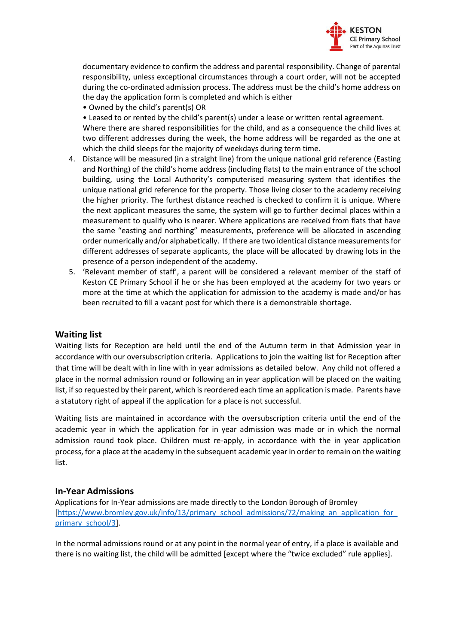

documentary evidence to confirm the address and parental responsibility. Change of parental responsibility, unless exceptional circumstances through a court order, will not be accepted during the co-ordinated admission process. The address must be the child's home address on the day the application form is completed and which is either

• Owned by the child's parent(s) OR

• Leased to or rented by the child's parent(s) under a lease or written rental agreement. Where there are shared responsibilities for the child, and as a consequence the child lives at two different addresses during the week, the home address will be regarded as the one at which the child sleeps for the majority of weekdays during term time.

- 4. Distance will be measured (in a straight line) from the unique national grid reference (Easting and Northing) of the child's home address (including flats) to the main entrance of the school building, using the Local Authority's computerised measuring system that identifies the unique national grid reference for the property. Those living closer to the academy receiving the higher priority. The furthest distance reached is checked to confirm it is unique. Where the next applicant measures the same, the system will go to further decimal places within a measurement to qualify who is nearer. Where applications are received from flats that have the same "easting and northing" measurements, preference will be allocated in ascending order numerically and/or alphabetically. If there are two identical distance measurements for different addresses of separate applicants, the place will be allocated by drawing lots in the presence of a person independent of the academy.
- 5. 'Relevant member of staff', a parent will be considered a relevant member of the staff of Keston CE Primary School if he or she has been employed at the academy for two years or more at the time at which the application for admission to the academy is made and/or has been recruited to fill a vacant post for which there is a demonstrable shortage.

# **Waiting list**

Waiting lists for Reception are held until the end of the Autumn term in that Admission year in accordance with our oversubscription criteria. Applications to join the waiting list for Reception after that time will be dealt with in line with in year admissions as detailed below. Any child not offered a place in the normal admission round or following an in year application will be placed on the waiting list, if so requested by their parent, which is reordered each time an application is made. Parents have a statutory right of appeal if the application for a place is not successful.

Waiting lists are maintained in accordance with the oversubscription criteria until the end of the academic year in which the application for in year admission was made or in which the normal admission round took place. Children must re-apply, in accordance with the in year application process, for a place at the academy in the subsequent academic year in order to remain on the waiting list.

# **In-Year Admissions**

Applications for In-Year admissions are made directly to the London Borough of Bromley [\[https://www.bromley.gov.uk/info/13/primary\\_school\\_admissions/72/making\\_an\\_application\\_for\\_](https://www.bromley.gov.uk/info/13/primary_school_admissions/72/making_an_application_for_primary_school/3) [primary\\_school/3\]](https://www.bromley.gov.uk/info/13/primary_school_admissions/72/making_an_application_for_primary_school/3).

In the normal admissions round or at any point in the normal year of entry, if a place is available and there is no waiting list, the child will be admitted [except where the "twice excluded" rule applies].